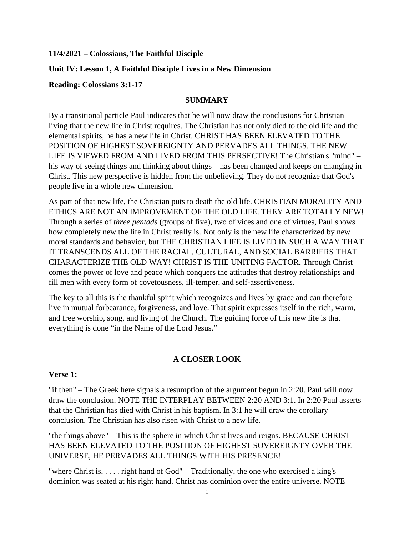#### **11/4/2021 – Colossians, The Faithful Disciple**

#### **Unit IV: Lesson 1, A Faithful Disciple Lives in a New Dimension**

#### **Reading: Colossians 3:1-17**

#### **SUMMARY**

By a transitional particle Paul indicates that he will now draw the conclusions for Christian living that the new life in Christ requires. The Christian has not only died to the old life and the elemental spirits, he has a new life in Christ. CHRIST HAS BEEN ELEVATED TO THE POSITION OF HIGHEST SOVEREIGNTY AND PERVADES ALL THINGS. THE NEW LIFE IS VIEWED FROM AND LIVED FROM THIS PERSECTIVE! The Christian's "mind" – his way of seeing things and thinking about things – has been changed and keeps on changing in Christ. This new perspective is hidden from the unbelieving. They do not recognize that God's people live in a whole new dimension.

As part of that new life, the Christian puts to death the old life. CHRISTIAN MORALITY AND ETHICS ARE NOT AN IMPROVEMENT OF THE OLD LIFE. THEY ARE TOTALLY NEW! Through a series of *three pentads* (groups of five), two of vices and one of virtues, Paul shows how completely new the life in Christ really is. Not only is the new life characterized by new moral standards and behavior, but THE CHRISTIAN LIFE IS LIVED IN SUCH A WAY THAT IT TRANSCENDS ALL OF THE RACIAL, CULTURAL, AND SOCIAL BARRIERS THAT CHARACTERIZE THE OLD WAY! CHRIST IS THE UNITING FACTOR. Through Christ comes the power of love and peace which conquers the attitudes that destroy relationships and fill men with every form of covetousness, ill-temper, and self-assertiveness.

The key to all this is the thankful spirit which recognizes and lives by grace and can therefore live in mutual forbearance, forgiveness, and love. That spirit expresses itself in the rich, warm, and free worship, song, and living of the Church. The guiding force of this new life is that everything is done "in the Name of the Lord Jesus."

#### **A CLOSER LOOK**

#### **Verse 1:**

"if then" – The Greek here signals a resumption of the argument begun in 2:20. Paul will now draw the conclusion. NOTE THE INTERPLAY BETWEEN 2:20 AND 3:1. In 2:20 Paul asserts that the Christian has died with Christ in his baptism. In 3:1 he will draw the corollary conclusion. The Christian has also risen with Christ to a new life.

"the things above" – This is the sphere in which Christ lives and reigns. BECAUSE CHRIST HAS BEEN ELEVATED TO THE POSITION OF HIGHEST SOVEREIGNTY OVER THE UNIVERSE, HE PERVADES ALL THINGS WITH HIS PRESENCE!

"where Christ is, . . . . right hand of God" – Traditionally, the one who exercised a king's dominion was seated at his right hand. Christ has dominion over the entire universe. NOTE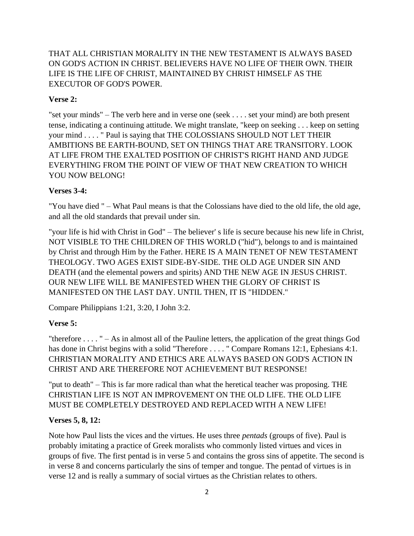THAT ALL CHRISTIAN MORALITY IN THE NEW TESTAMENT IS ALWAYS BASED ON GOD'S ACTION IN CHRIST. BELIEVERS HAVE NO LIFE OF THEIR OWN. THEIR LIFE IS THE LIFE OF CHRIST, MAINTAINED BY CHRIST HIMSELF AS THE EXECUTOR OF GOD'S POWER.

### **Verse 2:**

"set your minds" – The verb here and in verse one (seek . . . . set your mind) are both present tense, indicating a continuing attitude. We might translate, "keep on seeking . . . keep on setting your mind . . . . " Paul is saying that THE COLOSSIANS SHOULD NOT LET THEIR AMBITIONS BE EARTH-BOUND, SET ON THINGS THAT ARE TRANSITORY. LOOK AT LIFE FROM THE EXALTED POSITION OF CHRIST'S RIGHT HAND AND JUDGE EVERYTHING FROM THE POINT OF VIEW OF THAT NEW CREATION TO WHICH YOU NOW BELONG!

### **Verses 3-4:**

"You have died " – What Paul means is that the Colossians have died to the old life, the old age, and all the old standards that prevail under sin.

"your life is hid with Christ in God" – The believer' s life is secure because his new life in Christ, NOT VISIBLE TO THE CHILDREN OF THIS WORLD ("hid"), belongs to and is maintained by Christ and through Him by the Father. HERE IS A MAIN TENET OF NEW TESTAMENT THEOLOGY. TWO AGES EXIST SIDE-BY-SIDE. THE OLD AGE UNDER SIN AND DEATH (and the elemental powers and spirits) AND THE NEW AGE IN JESUS CHRIST. OUR NEW LIFE WILL BE MANIFESTED WHEN THE GLORY OF CHRIST IS MANIFESTED ON THE LAST DAY. UNTIL THEN, IT IS "HIDDEN."

Compare Philippians 1:21, 3:20, I John 3:2.

### **Verse 5:**

"therefore . . . . " – As in almost all of the Pauline letters, the application of the great things God has done in Christ begins with a solid "Therefore . . . . " Compare Romans 12:1, Ephesians 4:1. CHRISTIAN MORALITY AND ETHICS ARE ALWAYS BASED ON GOD'S ACTION IN CHRIST AND ARE THEREFORE NOT ACHIEVEMENT BUT RESPONSE!

"put to death" – This is far more radical than what the heretical teacher was proposing. THE CHRISTIAN LIFE IS NOT AN IMPROVEMENT ON THE OLD LIFE. THE OLD LIFE MUST BE COMPLETELY DESTROYED AND REPLACED WITH A NEW LIFE!

#### **Verses 5, 8, 12:**

Note how Paul lists the vices and the virtues. He uses three *pentads* (groups of five). Paul is probably imitating a practice of Greek moralists who commonly listed virtues and vices in groups of five. The first pentad is in verse 5 and contains the gross sins of appetite. The second is in verse 8 and concerns particularly the sins of temper and tongue. The pentad of virtues is in verse 12 and is really a summary of social virtues as the Christian relates to others.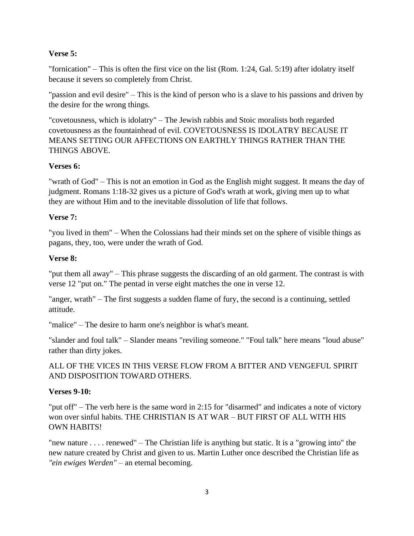### **Verse 5:**

"fornication" – This is often the first vice on the list (Rom. 1:24, Gal. 5:19) after idolatry itself because it severs so completely from Christ.

"passion and evil desire" – This is the kind of person who is a slave to his passions and driven by the desire for the wrong things.

"covetousness, which is idolatry" – The Jewish rabbis and Stoic moralists both regarded covetousness as the fountainhead of evil. COVETOUSNESS IS IDOLATRY BECAUSE IT MEANS SETTING OUR AFFECTIONS ON EARTHLY THINGS RATHER THAN THE THINGS ABOVE.

### **Verses 6:**

"wrath of God" – This is not an emotion in God as the English might suggest. It means the day of judgment. Romans 1:18-32 gives us a picture of God's wrath at work, giving men up to what they are without Him and to the inevitable dissolution of life that follows.

### **Verse 7:**

"you lived in them" – When the Colossians had their minds set on the sphere of visible things as pagans, they, too, were under the wrath of God.

### **Verse 8:**

"put them all away" – This phrase suggests the discarding of an old garment. The contrast is with verse 12 "put on." The pentad in verse eight matches the one in verse 12.

"anger, wrath" – The first suggests a sudden flame of fury, the second is a continuing, settled attitude.

"malice" – The desire to harm one's neighbor is what's meant.

"slander and foul talk" – Slander means "reviling someone." "Foul talk" here means "loud abuse" rather than dirty jokes.

ALL OF THE VICES IN THIS VERSE FLOW FROM A BITTER AND VENGEFUL SPIRIT AND DISPOSITION TOWARD OTHERS.

### **Verses 9-10:**

"put off" – The verb here is the same word in 2:15 for "disarmed" and indicates a note of victory won over sinful habits. THE CHRISTIAN IS AT WAR – BUT FIRST OF ALL WITH HIS OWN HABITS!

"new nature . . . . renewed" – The Christian life is anything but static. It is a "growing into" the new nature created by Christ and given to us. Martin Luther once described the Christian life as *"ein ewiges Werden"* – an eternal becoming.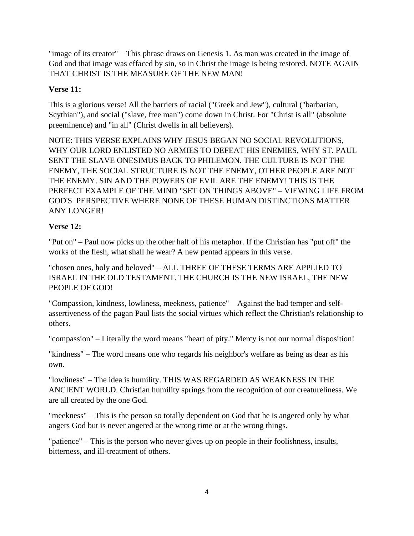"image of its creator" – This phrase draws on Genesis 1. As man was created in the image of God and that image was effaced by sin, so in Christ the image is being restored. NOTE AGAIN THAT CHRIST IS THE MEASURE OF THE NEW MAN!

# **Verse 11:**

This is a glorious verse! All the barriers of racial ("Greek and Jew"), cultural ("barbarian, Scythian"), and social ("slave, free man") come down in Christ. For "Christ is all" (absolute preeminence) and "in all" (Christ dwells in all believers).

NOTE: THIS VERSE EXPLAINS WHY JESUS BEGAN NO SOCIAL REVOLUTIONS, WHY OUR LORD ENLISTED NO ARMIES TO DEFEAT HIS ENEMIES, WHY ST. PAUL SENT THE SLAVE ONESIMUS BACK TO PHILEMON. THE CULTURE IS NOT THE ENEMY, THE SOCIAL STRUCTURE IS NOT THE ENEMY, OTHER PEOPLE ARE NOT THE ENEMY. SIN AND THE POWERS OF EVIL ARE THE ENEMY! THIS IS THE PERFECT EXAMPLE OF THE MIND "SET ON THINGS ABOVE" – VIEWING LIFE FROM GOD'S PERSPECTIVE WHERE NONE OF THESE HUMAN DISTINCTIONS MATTER ANY LONGER!

# **Verse 12:**

"Put on" – Paul now picks up the other half of his metaphor. If the Christian has "put off" the works of the flesh, what shall he wear? A new pentad appears in this verse.

"chosen ones, holy and beloved" – ALL THREE OF THESE TERMS ARE APPLIED TO ISRAEL IN THE OLD TESTAMENT. THE CHURCH IS THE NEW ISRAEL, THE NEW PEOPLE OF GOD!

"Compassion, kindness, lowliness, meekness, patience" – Against the bad temper and selfassertiveness of the pagan Paul lists the social virtues which reflect the Christian's relationship to others.

"compassion" – Literally the word means "heart of pity." Mercy is not our normal disposition!

"kindness" – The word means one who regards his neighbor's welfare as being as dear as his own.

"lowliness" – The idea is humility. THIS WAS REGARDED AS WEAKNESS IN THE ANCIENT WORLD. Christian humility springs from the recognition of our creatureliness. We are all created by the one God.

"meekness" – This is the person so totally dependent on God that he is angered only by what angers God but is never angered at the wrong time or at the wrong things.

"patience" – This is the person who never gives up on people in their foolishness, insults, bitterness, and ill-treatment of others.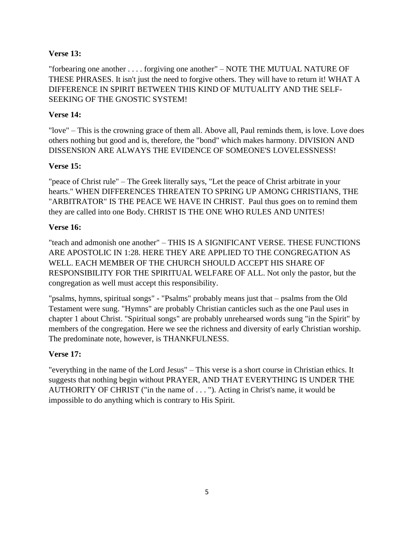### **Verse 13:**

"forbearing one another . . . . forgiving one another" – NOTE THE MUTUAL NATURE OF THESE PHRASES. It isn't just the need to forgive others. They will have to return it! WHAT A DIFFERENCE IN SPIRIT BETWEEN THIS KIND OF MUTUALITY AND THE SELF-SEEKING OF THE GNOSTIC SYSTEM!

# **Verse 14:**

"love" – This is the crowning grace of them all. Above all, Paul reminds them, is love. Love does others nothing but good and is, therefore, the "bond" which makes harmony. DIVISION AND DISSENSION ARE ALWAYS THE EVIDENCE OF SOMEONE'S LOVELESSNESS!

# **Verse 15:**

"peace of Christ rule" – The Greek literally says, "Let the peace of Christ arbitrate in your hearts." WHEN DIFFERENCES THREATEN TO SPRING UP AMONG CHRISTIANS, THE "ARBITRATOR" IS THE PEACE WE HAVE IN CHRIST. Paul thus goes on to remind them they are called into one Body. CHRIST IS THE ONE WHO RULES AND UNITES!

# **Verse 16:**

"teach and admonish one another" – THIS IS A SIGNIFICANT VERSE. THESE FUNCTIONS ARE APOSTOLIC IN 1:28. HERE THEY ARE APPLIED TO THE CONGREGATION AS WELL. EACH MEMBER OF THE CHURCH SHOULD ACCEPT HIS SHARE OF RESPONSIBILITY FOR THE SPIRITUAL WELFARE OF ALL. Not only the pastor, but the congregation as well must accept this responsibility.

"psalms, hymns, spiritual songs" - "Psalms" probably means just that – psalms from the Old Testament were sung. "Hymns" are probably Christian canticles such as the one Paul uses in chapter 1 about Christ. "Spiritual songs" are probably unrehearsed words sung "in the Spirit" by members of the congregation. Here we see the richness and diversity of early Christian worship. The predominate note, however, is THANKFULNESS.

# **Verse 17:**

"everything in the name of the Lord Jesus" – This verse is a short course in Christian ethics. It suggests that nothing begin without PRAYER, AND THAT EVERYTHING IS UNDER THE AUTHORITY OF CHRIST ("in the name of . . . "). Acting in Christ's name, it would be impossible to do anything which is contrary to His Spirit.